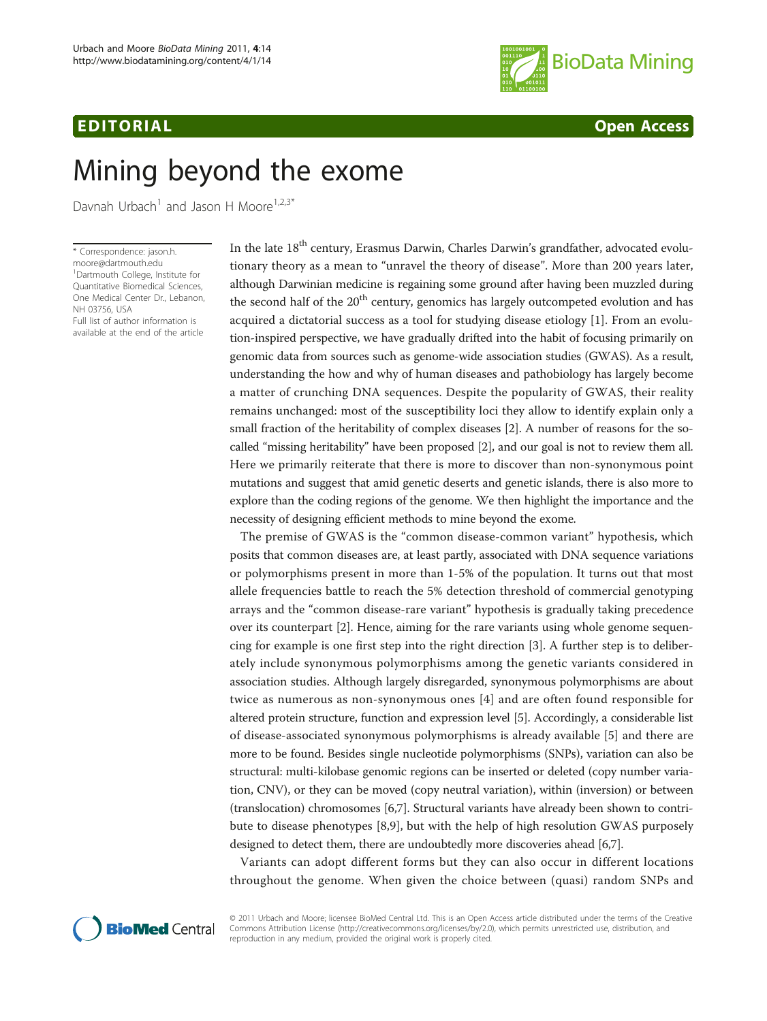## EDITORIAL CONTRACT CONTRACT CONTRACT CONTRACT CONTRACT CONTRACT CONTRACT CONTRACT CONTRACT CONTRACT CONTRACT CONTRACT CONTRACT CONTRACT CONTRACT CONTRACT CONTRACT CONTRACT CONTRACT CONTRACT CONTRACT CONTRACT CONTRACT CONTR



# Mining beyond the exome

Davnah Urbach<sup>1</sup> and Jason H Moore<sup>1,2,3\*</sup>

\* Correspondence: [jason.h.](mailto:jason.h.moore@dartmouth.edu) [moore@dartmouth.edu](mailto:jason.h.moore@dartmouth.edu) <sup>1</sup>Dartmouth College, Institute for Quantitative Biomedical Sciences, One Medical Center Dr., Lebanon, NH 03756, USA

Full list of author information is available at the end of the article In the late 18<sup>th</sup> century, Erasmus Darwin, Charles Darwin's grandfather, advocated evolutionary theory as a mean to "unravel the theory of disease". More than 200 years later, although Darwinian medicine is regaining some ground after having been muzzled during the second half of the  $20<sup>th</sup>$  century, genomics has largely outcompeted evolution and has acquired a dictatorial success as a tool for studying disease etiology [[1\]](#page-1-0). From an evolution-inspired perspective, we have gradually drifted into the habit of focusing primarily on genomic data from sources such as genome-wide association studies (GWAS). As a result, understanding the how and why of human diseases and pathobiology has largely become a matter of crunching DNA sequences. Despite the popularity of GWAS, their reality remains unchanged: most of the susceptibility loci they allow to identify explain only a small fraction of the heritability of complex diseases [\[2\]](#page-1-0). A number of reasons for the socalled "missing heritability" have been proposed [\[2](#page-1-0)], and our goal is not to review them all. Here we primarily reiterate that there is more to discover than non-synonymous point mutations and suggest that amid genetic deserts and genetic islands, there is also more to explore than the coding regions of the genome. We then highlight the importance and the necessity of designing efficient methods to mine beyond the exome.

The premise of GWAS is the "common disease-common variant" hypothesis, which posits that common diseases are, at least partly, associated with DNA sequence variations or polymorphisms present in more than 1-5% of the population. It turns out that most allele frequencies battle to reach the 5% detection threshold of commercial genotyping arrays and the "common disease-rare variant" hypothesis is gradually taking precedence over its counterpart [\[2](#page-1-0)]. Hence, aiming for the rare variants using whole genome sequencing for example is one first step into the right direction [[3\]](#page-1-0). A further step is to deliberately include synonymous polymorphisms among the genetic variants considered in association studies. Although largely disregarded, synonymous polymorphisms are about twice as numerous as non-synonymous ones [[4\]](#page-1-0) and are often found responsible for altered protein structure, function and expression level [\[5\]](#page-1-0). Accordingly, a considerable list of disease-associated synonymous polymorphisms is already available [\[5](#page-1-0)] and there are more to be found. Besides single nucleotide polymorphisms (SNPs), variation can also be structural: multi-kilobase genomic regions can be inserted or deleted (copy number variation, CNV), or they can be moved (copy neutral variation), within (inversion) or between (translocation) chromosomes [\[6,7](#page-1-0)]. Structural variants have already been shown to contribute to disease phenotypes [[8,9\]](#page-1-0), but with the help of high resolution GWAS purposely designed to detect them, there are undoubtedly more discoveries ahead [[6](#page-1-0),[7](#page-1-0)].

Variants can adopt different forms but they can also occur in different locations throughout the genome. When given the choice between (quasi) random SNPs and



© 2011 Urbach and Moore; licensee BioMed Central Ltd. This is an Open Access article distributed under the terms of the Creative Commons Attribution License [\(http://creativecommons.org/licenses/by/2.0](http://creativecommons.org/licenses/by/2.0)), which permits unrestricted use, distribution, and reproduction in any medium, provided the original work is properly cited.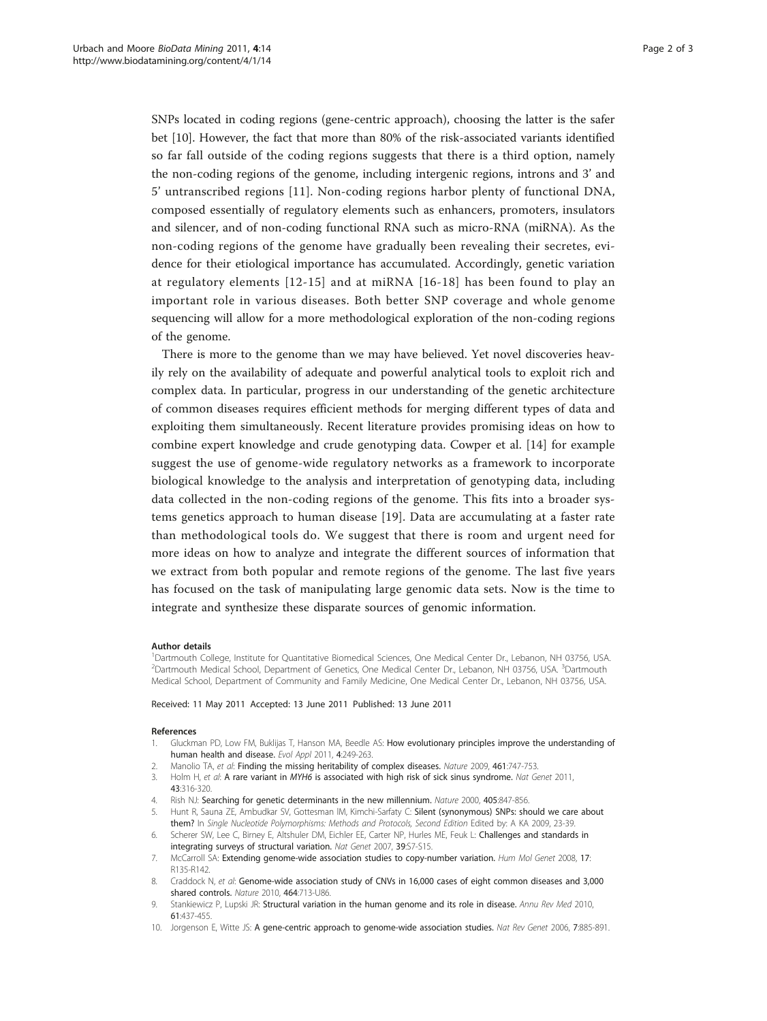<span id="page-1-0"></span>SNPs located in coding regions (gene-centric approach), choosing the latter is the safer bet [10]. However, the fact that more than 80% of the risk-associated variants identified so far fall outside of the coding regions suggests that there is a third option, namely the non-coding regions of the genome, including intergenic regions, introns and 3' and 5' untranscribed regions [[11\]](#page-2-0). Non-coding regions harbor plenty of functional DNA, composed essentially of regulatory elements such as enhancers, promoters, insulators and silencer, and of non-coding functional RNA such as micro-RNA (miRNA). As the non-coding regions of the genome have gradually been revealing their secretes, evidence for their etiological importance has accumulated. Accordingly, genetic variation at regulatory elements [[12](#page-2-0)-[15\]](#page-2-0) and at miRNA [[16](#page-2-0)-[18\]](#page-2-0) has been found to play an important role in various diseases. Both better SNP coverage and whole genome sequencing will allow for a more methodological exploration of the non-coding regions of the genome.

There is more to the genome than we may have believed. Yet novel discoveries heavily rely on the availability of adequate and powerful analytical tools to exploit rich and complex data. In particular, progress in our understanding of the genetic architecture of common diseases requires efficient methods for merging different types of data and exploiting them simultaneously. Recent literature provides promising ideas on how to combine expert knowledge and crude genotyping data. Cowper et al. [[14\]](#page-2-0) for example suggest the use of genome-wide regulatory networks as a framework to incorporate biological knowledge to the analysis and interpretation of genotyping data, including data collected in the non-coding regions of the genome. This fits into a broader systems genetics approach to human disease [[19\]](#page-2-0). Data are accumulating at a faster rate than methodological tools do. We suggest that there is room and urgent need for more ideas on how to analyze and integrate the different sources of information that we extract from both popular and remote regions of the genome. The last five years has focused on the task of manipulating large genomic data sets. Now is the time to integrate and synthesize these disparate sources of genomic information.

#### Author details

<sup>1</sup>Dartmouth College, Institute for Quantitative Biomedical Sciences, One Medical Center Dr., Lebanon, NH 03756, USA. <sup>2</sup>Dartmouth Medical School, Department of Genetics, One Medical Center Dr., Lebanon, NH 03756, USA. <sup>3</sup>Dartmouth Medical School, Department of Community and Family Medicine, One Medical Center Dr., Lebanon, NH 03756, USA.

Received: 11 May 2011 Accepted: 13 June 2011 Published: 13 June 2011

#### References

- 1. Gluckman PD, Low FM, Buklijas T, Hanson MA, Beedle AS: How evolutionary principles improve the understanding of human health and disease. Evol Appl 2011, 4:249-263.
- 2. Manolio TA, et al: [Finding the missing heritability of complex diseases.](http://www.ncbi.nlm.nih.gov/pubmed/19812666?dopt=Abstract) Nature 2009, 461:747-753.
- 3. Holm H, et al: A rare variant in MYH6 [is associated with high risk of sick sinus syndrome.](http://www.ncbi.nlm.nih.gov/pubmed/21378987?dopt=Abstract) Nat Genet 2011, 43:316-320.
- 4. Rish NJ: [Searching for genetic determinants in the new millennium.](http://www.ncbi.nlm.nih.gov/pubmed/10866211?dopt=Abstract) Nature 2000, 405:847-856.
- 5. Hunt R, Sauna ZE, Ambudkar SV, Gottesman lM, Kimchi-Sarfaty C: Silent (synonymous) SNPs: should we care about them? In Single Nucleotide Polymorphisms: Methods and Protocols, Second Edition Edited by: A KA 2009, 23-39.
- 6. Scherer SW, Lee C, Birney E, Altshuler DM, Eichler EE, Carter NP, Hurles ME, Feuk L: [Challenges and standards in](http://www.ncbi.nlm.nih.gov/pubmed/17597783?dopt=Abstract) [integrating surveys of structural variation.](http://www.ncbi.nlm.nih.gov/pubmed/17597783?dopt=Abstract) Nat Genet 2007, 39:S7-S15.
- 7. McCarroll SA: [Extending genome-wide association studies to copy-number variation.](http://www.ncbi.nlm.nih.gov/pubmed/18852202?dopt=Abstract) Hum Mol Genet 2008, 17: R135-R142.
- 8. Craddock N, et al: [Genome-wide association study of CNVs in 16,000 cases of eight common diseases and 3,000](http://www.ncbi.nlm.nih.gov/pubmed/20360734?dopt=Abstract) [shared controls.](http://www.ncbi.nlm.nih.gov/pubmed/20360734?dopt=Abstract) Nature 2010, 464:713-U86.
- Stankiewicz P, Lupski JR: [Structural variation in the human genome and its role in disease.](http://www.ncbi.nlm.nih.gov/pubmed/20059347?dopt=Abstract) Annu Rev Med 2010, 61:437-455.
- 10. Jorgenson E, Witte JS: [A gene-centric approach to genome-wide association studies.](http://www.ncbi.nlm.nih.gov/pubmed/17047687?dopt=Abstract) Nat Rev Genet 2006, 7:885-891.